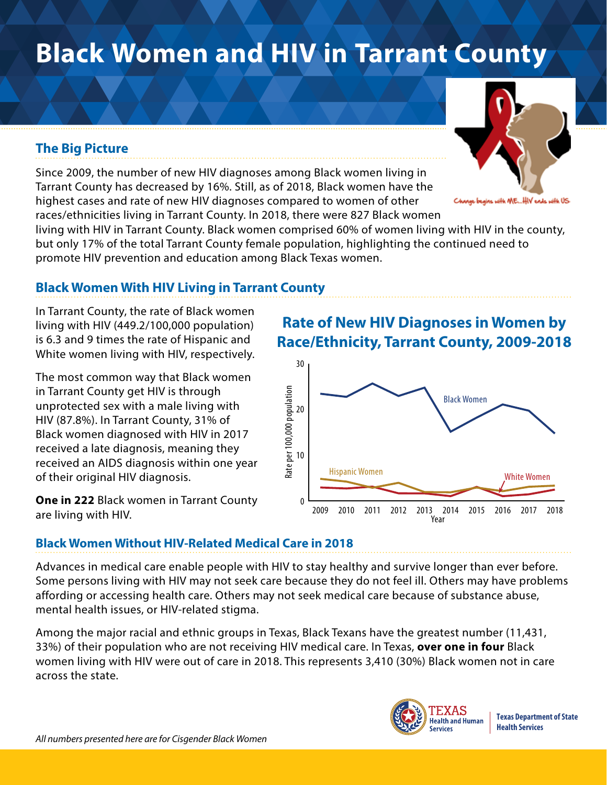# **Black Women and HIV in Tarrant County**

## **The Big Picture**

Since 2009, the number of new HIV diagnoses among Black women living in Tarrant County has decreased by 16%. Still, as of 2018, Black women have the highest cases and rate of new HIV diagnoses compared to women of other races/ethnicities living in Tarrant County. In 2018, there were 827 Black women

living with HIV in Tarrant County. Black women comprised 60% of women living with HIV in the county, but only 17% of the total Tarrant County female population, highlighting the continued need to promote HIV prevention and education among Black Texas women.

## **Black Women With HIV Living in Tarrant County**

In Tarrant County, the rate of Black women living with HIV (449.2/100,000 population) is 6.3 and 9 times the rate of Hispanic and White women living with HIV, respectively.

The most common way that Black women in Tarrant County get HIV is through unprotected sex with a male living with HIV (87.8%). In Tarrant County, 31% of Black women diagnosed with HIV in 2017 received a late diagnosis, meaning they received an AIDS diagnosis within one year of their original HIV diagnosis.

**One in 222** Black women in Tarrant County are living with HIV.

## **Rate of New HIV Diagnoses in Women by Race/Ethnicity, Tarrant County, 2009-2018**



### **Black Women Without HIV-Related Medical Care in 2018**

Advances in medical care enable people with HIV to stay healthy and survive longer than ever before. Some persons living with HIV may not seek care because they do not feel ill. Others may have problems affording or accessing health care. Others may not seek medical care because of substance abuse, mental health issues, or HIV-related stigma.

Among the major racial and ethnic groups in Texas, Black Texans have the greatest number (11,431, 33%) of their population who are not receiving HIV medical care. In Texas, **over one in four** Black women living with HIV were out of care in 2018. This represents 3,410 (30%) Black women not in care across the state.





igins with ME...HIV ends with US